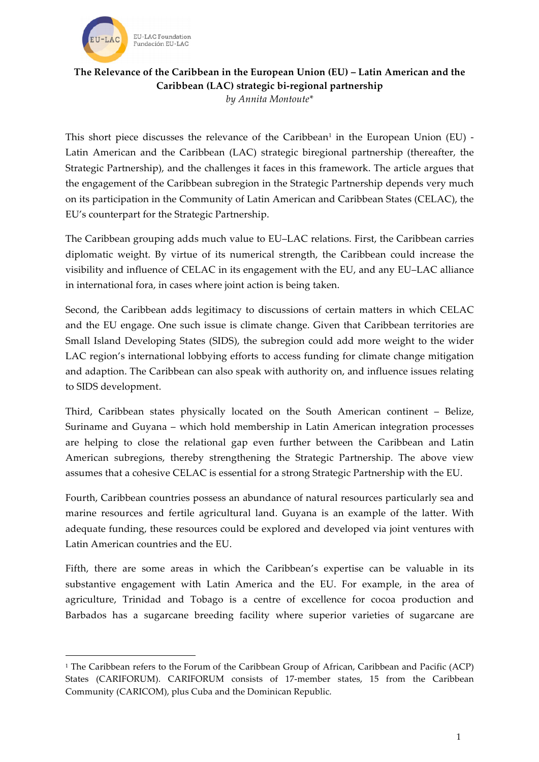

<u> 1989 - Jan Samuel Barbara, margaret e</u>

## **The Relevance of the Caribbean in the European Union (EU) – Latin American and the Caribbean (LAC) strategic bi-regional partnership** *by Annita Montoute\**

This short piece discusses the relevance of the Caribbean<sup>1</sup> in the European Union (EU) -Latin American and the Caribbean (LAC) strategic biregional partnership (thereafter, the Strategic Partnership), and the challenges it faces in this framework. The article argues that the engagement of the Caribbean subregion in the Strategic Partnership depends very much on its participation in the Community of Latin American and Caribbean States (CELAC), the EU's counterpart for the Strategic Partnership.

The Caribbean grouping adds much value to EU–LAC relations. First, the Caribbean carries diplomatic weight. By virtue of its numerical strength, the Caribbean could increase the visibility and influence of CELAC in its engagement with the EU, and any EU–LAC alliance in international fora, in cases where joint action is being taken.

Second, the Caribbean adds legitimacy to discussions of certain matters in which CELAC and the EU engage. One such issue is climate change. Given that Caribbean territories are Small Island Developing States (SIDS), the subregion could add more weight to the wider LAC region's international lobbying efforts to access funding for climate change mitigation and adaption. The Caribbean can also speak with authority on, and influence issues relating to SIDS development.

Third, Caribbean states physically located on the South American continent – Belize, Suriname and Guyana – which hold membership in Latin American integration processes are helping to close the relational gap even further between the Caribbean and Latin American subregions, thereby strengthening the Strategic Partnership. The above view assumes that a cohesive CELAC is essential for a strong Strategic Partnership with the EU.

Fourth, Caribbean countries possess an abundance of natural resources particularly sea and marine resources and fertile agricultural land. Guyana is an example of the latter. With adequate funding, these resources could be explored and developed via joint ventures with Latin American countries and the EU.

Fifth, there are some areas in which the Caribbean's expertise can be valuable in its substantive engagement with Latin America and the EU. For example, in the area of agriculture, Trinidad and Tobago is a centre of excellence for cocoa production and Barbados has a sugarcane breeding facility where superior varieties of sugarcane are

<sup>1</sup> The Caribbean refers to the Forum of the Caribbean Group of African, Caribbean and Pacific (ACP) States (CARIFORUM). CARIFORUM consists of 17-member states, 15 from the Caribbean Community (CARICOM), plus Cuba and the Dominican Republic.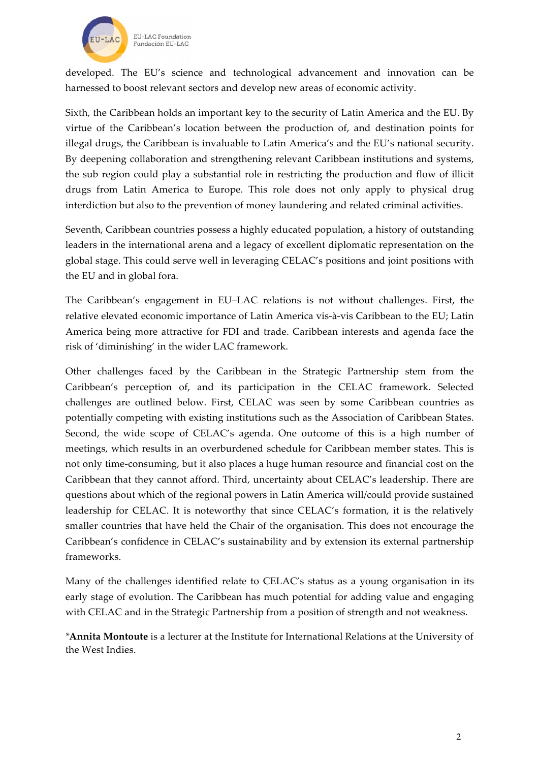

developed. The EU's science and technological advancement and innovation can be harnessed to boost relevant sectors and develop new areas of economic activity.

Sixth, the Caribbean holds an important key to the security of Latin America and the EU. By virtue of the Caribbean's location between the production of, and destination points for illegal drugs, the Caribbean is invaluable to Latin America's and the EU's national security. By deepening collaboration and strengthening relevant Caribbean institutions and systems, the sub region could play a substantial role in restricting the production and flow of illicit drugs from Latin America to Europe. This role does not only apply to physical drug interdiction but also to the prevention of money laundering and related criminal activities.

Seventh, Caribbean countries possess a highly educated population, a history of outstanding leaders in the international arena and a legacy of excellent diplomatic representation on the global stage. This could serve well in leveraging CELAC's positions and joint positions with the EU and in global fora.

The Caribbean's engagement in EU–LAC relations is not without challenges. First, the relative elevated economic importance of Latin America vis-à-vis Caribbean to the EU; Latin America being more attractive for FDI and trade. Caribbean interests and agenda face the risk of 'diminishing' in the wider LAC framework.

Other challenges faced by the Caribbean in the Strategic Partnership stem from the Caribbean's perception of, and its participation in the CELAC framework. Selected challenges are outlined below. First, CELAC was seen by some Caribbean countries as potentially competing with existing institutions such as the Association of Caribbean States. Second, the wide scope of CELAC's agenda. One outcome of this is a high number of meetings, which results in an overburdened schedule for Caribbean member states. This is not only time-consuming, but it also places a huge human resource and financial cost on the Caribbean that they cannot afford. Third, uncertainty about CELAC's leadership. There are questions about which of the regional powers in Latin America will/could provide sustained leadership for CELAC. It is noteworthy that since CELAC's formation, it is the relatively smaller countries that have held the Chair of the organisation. This does not encourage the Caribbean's confidence in CELAC's sustainability and by extension its external partnership frameworks.

Many of the challenges identified relate to CELAC's status as a young organisation in its early stage of evolution. The Caribbean has much potential for adding value and engaging with CELAC and in the Strategic Partnership from a position of strength and not weakness.

*\****Annita Montoute** is a lecturer at the Institute for International Relations at the University of the West Indies.